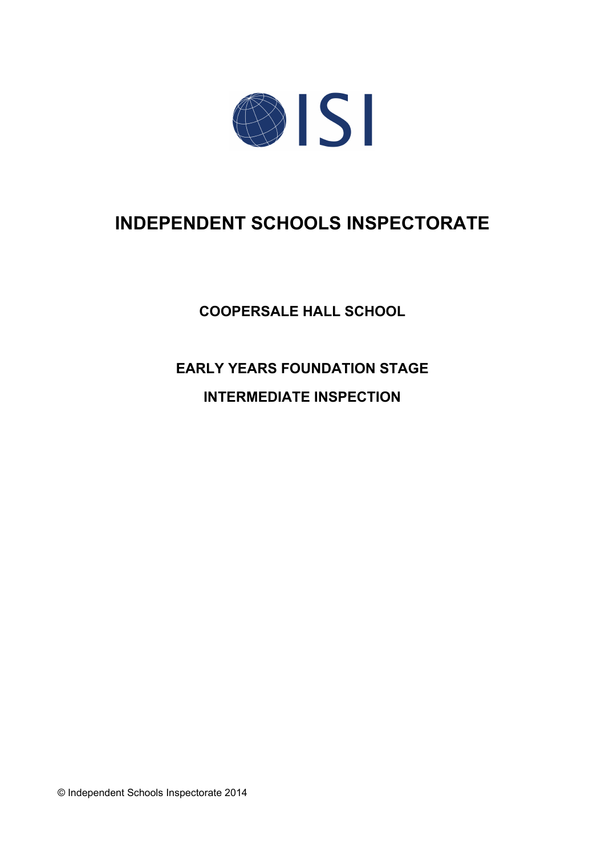

# **INDEPENDENT SCHOOLS INSPECTORATE**

**COOPERSALE HALL SCHOOL**

# **EARLY YEARS FOUNDATION STAGE**

# **INTERMEDIATE INSPECTION**

© Independent Schools Inspectorate 2014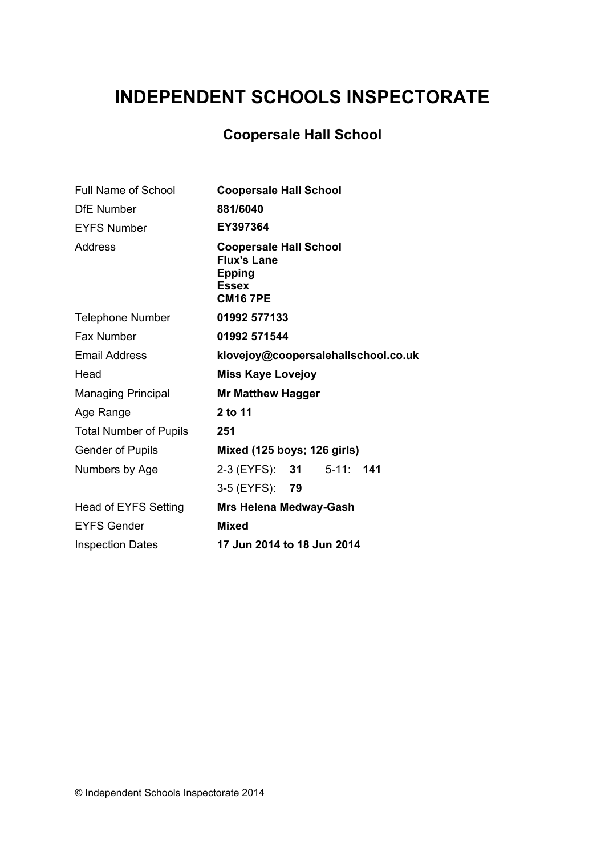# **INDEPENDENT SCHOOLS INSPECTORATE**

# **Coopersale Hall School**

| <b>Full Name of School</b>    | <b>Coopersale Hall School</b>                                                                           |
|-------------------------------|---------------------------------------------------------------------------------------------------------|
| <b>DfE</b> Number             | 881/6040                                                                                                |
| <b>EYFS Number</b>            | EY397364                                                                                                |
| Address                       | <b>Coopersale Hall School</b><br><b>Flux's Lane</b><br><b>Epping</b><br><b>Essex</b><br><b>CM16 7PE</b> |
| <b>Telephone Number</b>       | 01992 577133                                                                                            |
| Fax Number                    | 01992 571544                                                                                            |
| <b>Email Address</b>          | klovejoy@coopersalehallschool.co.uk                                                                     |
| Head                          | <b>Miss Kaye Lovejoy</b>                                                                                |
| <b>Managing Principal</b>     | <b>Mr Matthew Hagger</b>                                                                                |
| Age Range                     | 2 to 11                                                                                                 |
| <b>Total Number of Pupils</b> | 251                                                                                                     |
| <b>Gender of Pupils</b>       | Mixed (125 boys; 126 girls)                                                                             |
| Numbers by Age                | 2-3 (EYFS): <b>31</b><br>$5 - 11$ :<br>141                                                              |
|                               | 3-5 (EYFS): 79                                                                                          |
| <b>Head of EYFS Setting</b>   | <b>Mrs Helena Medway-Gash</b>                                                                           |
| <b>EYFS Gender</b>            | <b>Mixed</b>                                                                                            |
| <b>Inspection Dates</b>       | 17 Jun 2014 to 18 Jun 2014                                                                              |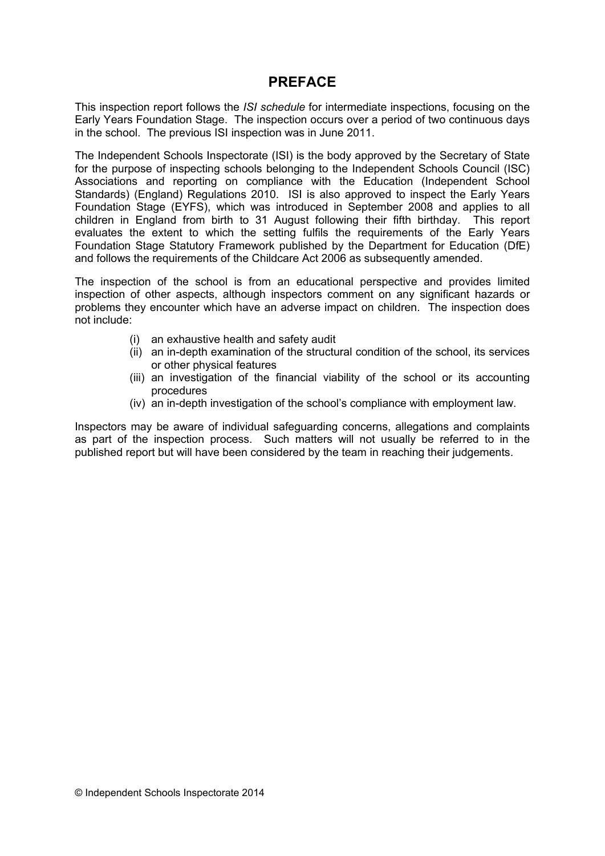# **PREFACE**

This inspection report follows the *ISI schedule* for intermediate inspections, focusing on the Early Years Foundation Stage. The inspection occurs over a period of two continuous days in the school. The previous ISI inspection was in June 2011.

The Independent Schools Inspectorate (ISI) is the body approved by the Secretary of State for the purpose of inspecting schools belonging to the Independent Schools Council (ISC) Associations and reporting on compliance with the Education (Independent School Standards) (England) Regulations 2010. ISI is also approved to inspect the Early Years Foundation Stage (EYFS), which was introduced in September 2008 and applies to all children in England from birth to 31 August following their fifth birthday. This report evaluates the extent to which the setting fulfils the requirements of the Early Years Foundation Stage Statutory Framework published by the Department for Education (DfE) and follows the requirements of the Childcare Act 2006 as subsequently amended.

The inspection of the school is from an educational perspective and provides limited inspection of other aspects, although inspectors comment on any significant hazards or problems they encounter which have an adverse impact on children. The inspection does not include:

- (i) an exhaustive health and safety audit
- (ii) an in-depth examination of the structural condition of the school, its services or other physical features
- (iii) an investigation of the financial viability of the school or its accounting procedures
- (iv) an in-depth investigation of the school's compliance with employment law.

Inspectors may be aware of individual safeguarding concerns, allegations and complaints as part of the inspection process. Such matters will not usually be referred to in the published report but will have been considered by the team in reaching their judgements.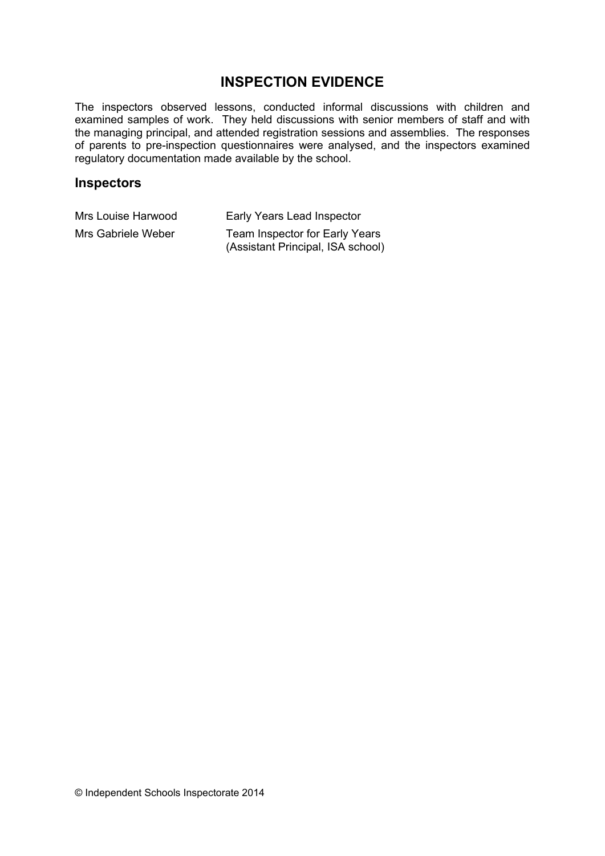## **INSPECTION EVIDENCE**

The inspectors observed lessons, conducted informal discussions with children and examined samples of work. They held discussions with senior members of staff and with the managing principal, and attended registration sessions and assemblies. The responses of parents to pre-inspection questionnaires were analysed, and the inspectors examined regulatory documentation made available by the school.

#### **Inspectors**

| Mrs Louise Harwood | Early Years Lead Inspector                                          |
|--------------------|---------------------------------------------------------------------|
| Mrs Gabriele Weber | Team Inspector for Early Years<br>(Assistant Principal, ISA school) |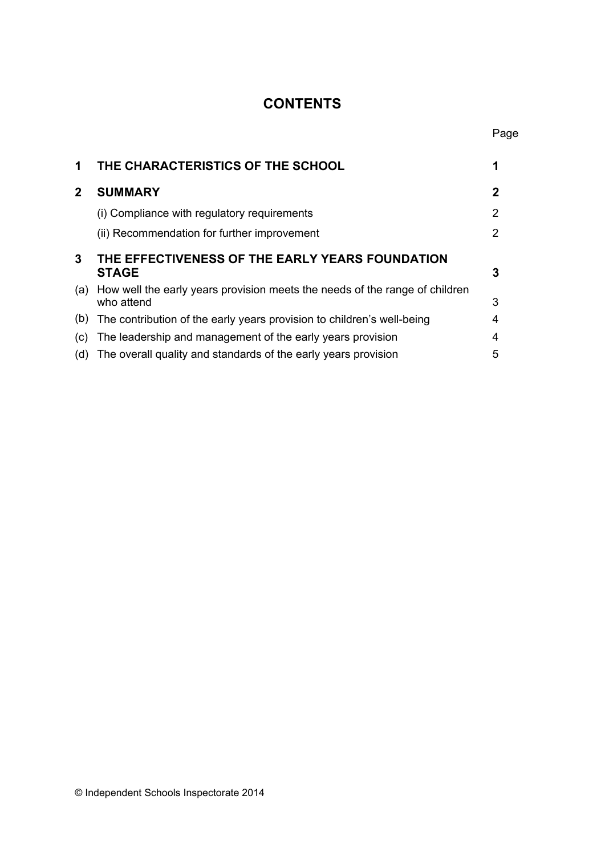# **CONTENTS**

Page

| 1            | THE CHARACTERISTICS OF THE SCHOOL                                                             |   |
|--------------|-----------------------------------------------------------------------------------------------|---|
| $\mathbf{2}$ | <b>SUMMARY</b>                                                                                | 2 |
|              | (i) Compliance with regulatory requirements                                                   | 2 |
|              | (ii) Recommendation for further improvement                                                   | 2 |
| 3            | THE EFFECTIVENESS OF THE EARLY YEARS FOUNDATION<br><b>STAGE</b><br>3                          |   |
|              | (a) How well the early years provision meets the needs of the range of children<br>who attend | 3 |
| (b)          | The contribution of the early years provision to children's well-being                        | 4 |
| (C)          | The leadership and management of the early years provision                                    | 4 |
| (d)          | The overall quality and standards of the early years provision                                | 5 |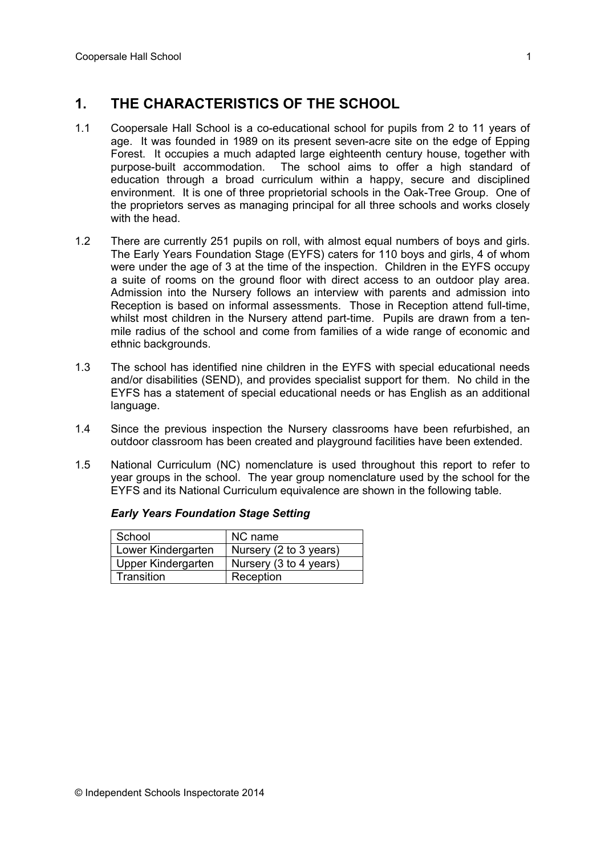# **1. THE CHARACTERISTICS OF THE SCHOOL**

- 1.1 Coopersale Hall School is a co-educational school for pupils from 2 to 11 years of age. It was founded in 1989 on its present seven-acre site on the edge of Epping Forest. It occupies a much adapted large eighteenth century house, together with purpose-built accommodation. The school aims to offer a high standard of education through a broad curriculum within a happy, secure and disciplined environment. It is one of three proprietorial schools in the Oak-Tree Group. One of the proprietors serves as managing principal for all three schools and works closely with the head.
- 1.2 There are currently 251 pupils on roll, with almost equal numbers of boys and girls. The Early Years Foundation Stage (EYFS) caters for 110 boys and girls, 4 of whom were under the age of 3 at the time of the inspection. Children in the EYFS occupy a suite of rooms on the ground floor with direct access to an outdoor play area. Admission into the Nursery follows an interview with parents and admission into Reception is based on informal assessments. Those in Reception attend full-time, whilst most children in the Nursery attend part-time. Pupils are drawn from a tenmile radius of the school and come from families of a wide range of economic and ethnic backgrounds.
- 1.3 The school has identified nine children in the EYFS with special educational needs and/or disabilities (SEND), and provides specialist support for them. No child in the EYFS has a statement of special educational needs or has English as an additional language.
- 1.4 Since the previous inspection the Nursery classrooms have been refurbished, an outdoor classroom has been created and playground facilities have been extended.
- 1.5 National Curriculum (NC) nomenclature is used throughout this report to refer to year groups in the school. The year group nomenclature used by the school for the EYFS and its National Curriculum equivalence are shown in the following table.

| School             | NC name                |
|--------------------|------------------------|
| Lower Kindergarten | Nursery (2 to 3 years) |
| Upper Kindergarten | Nursery (3 to 4 years) |
| Transition         | Reception              |

#### *Early Years Foundation Stage Setting*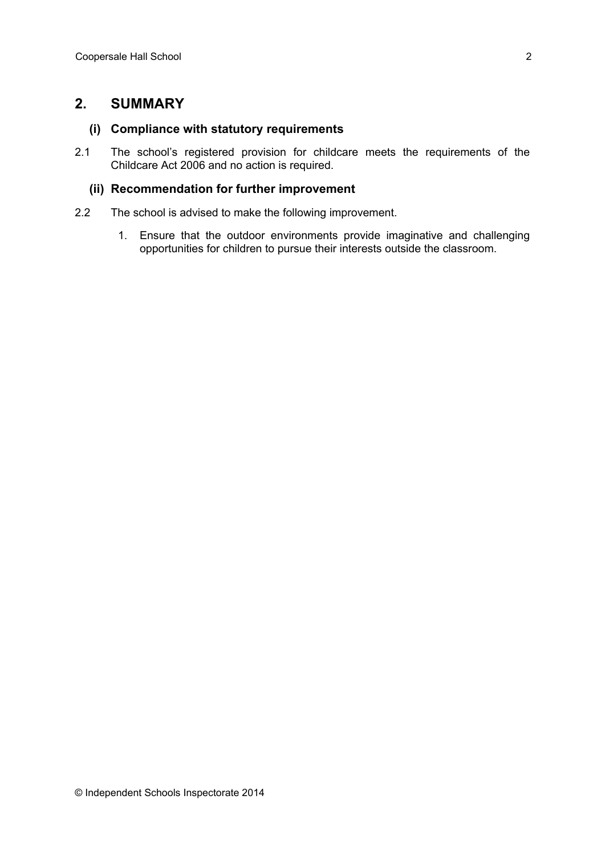### **2. SUMMARY**

#### **(i) Compliance with statutory requirements**

2.1 The school's registered provision for childcare meets the requirements of the Childcare Act 2006 and no action is required.

#### **(ii) Recommendation for further improvement**

- 2.2 The school is advised to make the following improvement.
	- 1. Ensure that the outdoor environments provide imaginative and challenging opportunities for children to pursue their interests outside the classroom.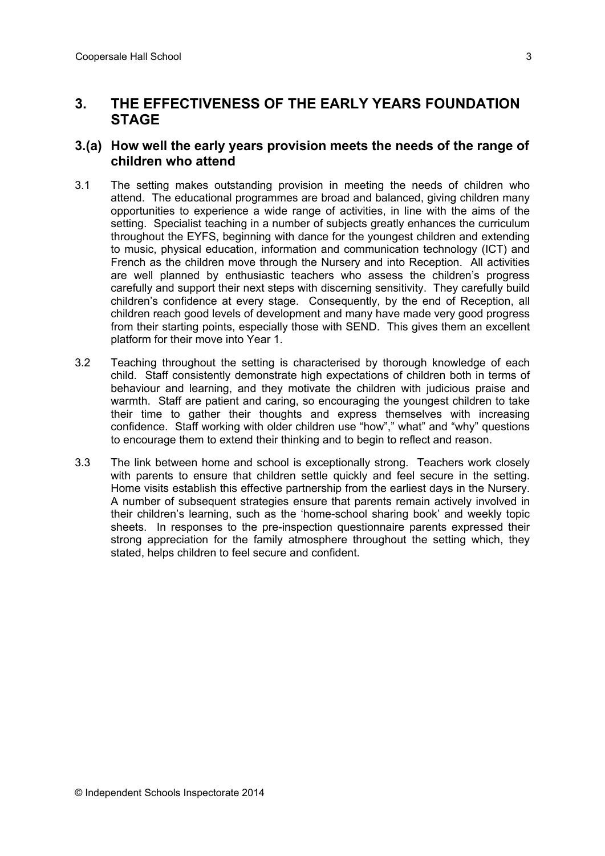### **3. THE EFFECTIVENESS OF THE EARLY YEARS FOUNDATION STAGE**

### **3.(a) How well the early years provision meets the needs of the range of children who attend**

- 3.1 The setting makes outstanding provision in meeting the needs of children who attend. The educational programmes are broad and balanced, giving children many opportunities to experience a wide range of activities, in line with the aims of the setting. Specialist teaching in a number of subjects greatly enhances the curriculum throughout the EYFS, beginning with dance for the youngest children and extending to music, physical education, information and communication technology (ICT) and French as the children move through the Nursery and into Reception. All activities are well planned by enthusiastic teachers who assess the children's progress carefully and support their next steps with discerning sensitivity. They carefully build children's confidence at every stage. Consequently, by the end of Reception, all children reach good levels of development and many have made very good progress from their starting points, especially those with SEND. This gives them an excellent platform for their move into Year 1.
- 3.2 Teaching throughout the setting is characterised by thorough knowledge of each child. Staff consistently demonstrate high expectations of children both in terms of behaviour and learning, and they motivate the children with judicious praise and warmth. Staff are patient and caring, so encouraging the youngest children to take their time to gather their thoughts and express themselves with increasing confidence. Staff working with older children use "how"," what" and "why" questions to encourage them to extend their thinking and to begin to reflect and reason.
- 3.3 The link between home and school is exceptionally strong. Teachers work closely with parents to ensure that children settle quickly and feel secure in the setting. Home visits establish this effective partnership from the earliest days in the Nursery. A number of subsequent strategies ensure that parents remain actively involved in their children's learning, such as the 'home-school sharing book' and weekly topic sheets. In responses to the pre-inspection questionnaire parents expressed their strong appreciation for the family atmosphere throughout the setting which, they stated, helps children to feel secure and confident.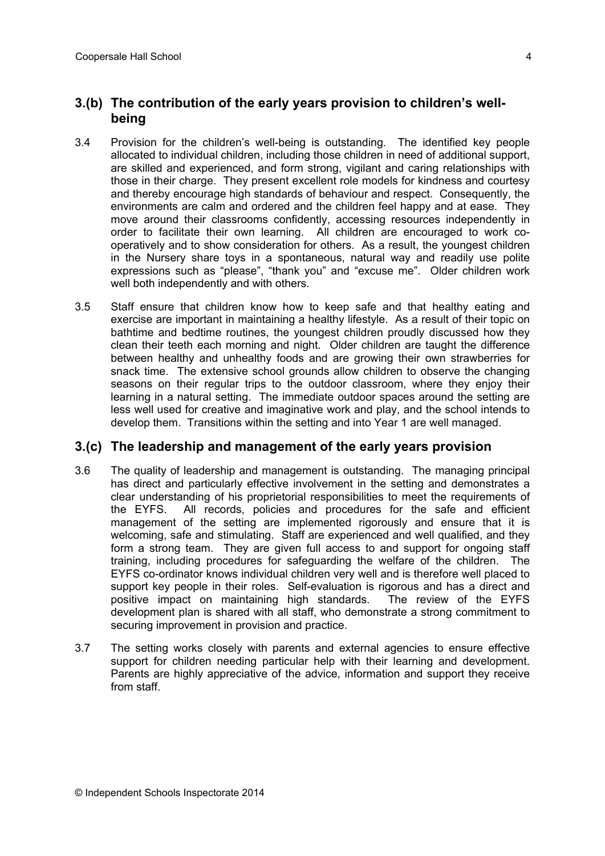### **3.(b) The contribution of the early years provision to children's wellbeing**

- 3.4 Provision for the children's well-being is outstanding. The identified key people allocated to individual children, including those children in need of additional support, are skilled and experienced, and form strong, vigilant and caring relationships with those in their charge. They present excellent role models for kindness and courtesy and thereby encourage high standards of behaviour and respect. Consequently, the environments are calm and ordered and the children feel happy and at ease. They move around their classrooms confidently, accessing resources independently in order to facilitate their own learning. All children are encouraged to work cooperatively and to show consideration for others. As a result, the youngest children in the Nursery share toys in a spontaneous, natural way and readily use polite expressions such as "please", "thank you" and "excuse me". Older children work well both independently and with others.
- 3.5 Staff ensure that children know how to keep safe and that healthy eating and exercise are important in maintaining a healthy lifestyle. As a result of their topic on bathtime and bedtime routines, the youngest children proudly discussed how they clean their teeth each morning and night. Older children are taught the difference between healthy and unhealthy foods and are growing their own strawberries for snack time. The extensive school grounds allow children to observe the changing seasons on their regular trips to the outdoor classroom, where they enjoy their learning in a natural setting. The immediate outdoor spaces around the setting are less well used for creative and imaginative work and play, and the school intends to develop them. Transitions within the setting and into Year 1 are well managed.

#### **3.(c) The leadership and management of the early years provision**

- 3.6 The quality of leadership and management is outstanding. The managing principal has direct and particularly effective involvement in the setting and demonstrates a clear understanding of his proprietorial responsibilities to meet the requirements of the EYFS. All records, policies and procedures for the safe and efficient management of the setting are implemented rigorously and ensure that it is welcoming, safe and stimulating. Staff are experienced and well qualified, and they form a strong team. They are given full access to and support for ongoing staff training, including procedures for safeguarding the welfare of the children. The EYFS co-ordinator knows individual children very well and is therefore well placed to support key people in their roles. Self-evaluation is rigorous and has a direct and positive impact on maintaining high standards. The review of the EYFS development plan is shared with all staff, who demonstrate a strong commitment to securing improvement in provision and practice.
- 3.7 The setting works closely with parents and external agencies to ensure effective support for children needing particular help with their learning and development. Parents are highly appreciative of the advice, information and support they receive from staff.